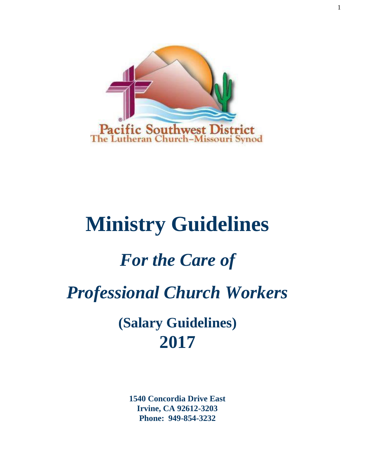

# **Ministry Guidelines**

# *For the Care of*

*Professional Church Workers*

**(Salary Guidelines) 2017**

**1540 Concordia Drive East Irvine, CA 92612-3203 Phone: 949-854-3232**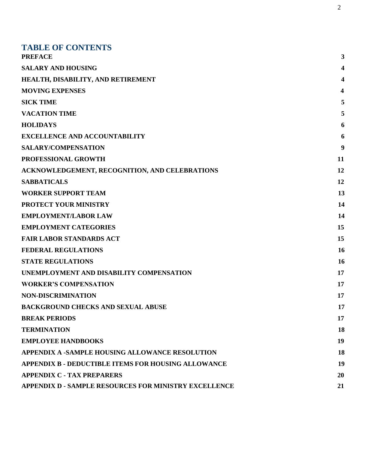| <b>TABLE OF CONTENTS</b><br><b>PREFACE</b>                   | 3                       |
|--------------------------------------------------------------|-------------------------|
| <b>SALARY AND HOUSING</b>                                    | 4                       |
| HEALTH, DISABILITY, AND RETIREMENT                           | 4                       |
| <b>MOVING EXPENSES</b>                                       | $\overline{\mathbf{4}}$ |
| <b>SICK TIME</b>                                             | 5                       |
| <b>VACATION TIME</b>                                         | 5                       |
| <b>HOLIDAYS</b>                                              | 6                       |
| <b>EXCELLENCE AND ACCOUNTABILITY</b>                         | 6                       |
| <b>SALARY/COMPENSATION</b>                                   | 9                       |
| PROFESSIONAL GROWTH                                          | 11                      |
| ACKNOWLEDGEMENT, RECOGNITION, AND CELEBRATIONS               | 12                      |
| <b>SABBATICALS</b>                                           | 12                      |
| <b>WORKER SUPPORT TEAM</b>                                   | 13                      |
| PROTECT YOUR MINISTRY                                        | 14                      |
| <b>EMPLOYMENT/LABOR LAW</b>                                  | 14                      |
| <b>EMPLOYMENT CATEGORIES</b>                                 | 15                      |
| <b>FAIR LABOR STANDARDS ACT</b>                              | 15                      |
| <b>FEDERAL REGULATIONS</b>                                   | <b>16</b>               |
| <b>STATE REGULATIONS</b>                                     | 16                      |
| UNEMPLOYMENT AND DISABILITY COMPENSATION                     | 17                      |
| <b>WORKER'S COMPENSATION</b>                                 | 17                      |
| <b>NON-DISCRIMINATION</b>                                    | 17                      |
| <b>BACKGROUND CHECKS AND SEXUAL ABUSE</b>                    | 17                      |
| <b>BREAK PERIODS</b>                                         | 17                      |
| <b>TERMINATION</b>                                           | 18                      |
| <b>EMPLOYEE HANDBOOKS</b>                                    | 19                      |
| <b>APPENDIX A -SAMPLE HOUSING ALLOWANCE RESOLUTION</b>       | <b>18</b>               |
| APPENDIX B - DEDUCTIBLE ITEMS FOR HOUSING ALLOWANCE          | 19                      |
| <b>APPENDIX C - TAX PREPARERS</b>                            | 20                      |
| <b>APPENDIX D - SAMPLE RESOURCES FOR MINISTRY EXCELLENCE</b> | 21                      |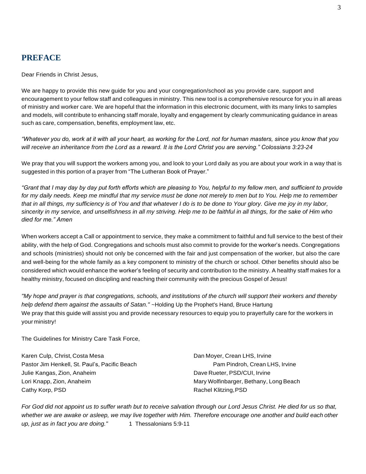# **PREFACE**

Dear Friends in Christ Jesus,

We are happy to provide this new guide for you and your congregation/school as you provide care, support and encouragement to your fellow staff and colleagues in ministry. This new tool is a comprehensive resource for you in all areas of ministry and worker care. We are hopeful that the information in this electronic document, with its many links to samples and models, will contribute to enhancing staff morale, loyalty and engagement by clearly communicating guidance in areas such as care, compensation, benefits, employment law, etc.

*"Whatever you do, work at it with all your heart, as working for the Lord, not for human masters, since you know that you will receive an inheritance from the Lord as a reward. It is the Lord Christ you are serving." Colossians 3:23-24*

We pray that you will support the workers among you, and look to your Lord daily as you are about your work in a way that is suggested in this portion of a prayer from "The Lutheran Book of Prayer."

*"Grant that I may day by day put forth efforts which are pleasing to You, helpful to my fellow men, and sufficient to provide for my daily needs. Keep me mindful that my service must be done not merely to men but to You. Help me to remember that in all things, my sufficiency is of You and that whatever I do is to be done to Your glory. Give me joy in my labor, sincerity in my service, and unselfishness in all my striving. Help me to be faithful in all things, for the sake of Him who died for me." Amen*

When workers accept a Call or appointment to service, they make a commitment to faithful and full service to the best of their ability, with the help of God. Congregations and schools must also commit to provide for the worker's needs. Congregations and schools (ministries) should not only be concerned with the fair and just compensation of the worker, but also the care and well-being for the whole family as a key component to ministry of the church or school. Other benefits should also be considered which would enhance the worker's feeling of security and contribution to the ministry. A healthy staff makes for a healthy ministry, focused on discipling and reaching their community with the precious Gospel of Jesus!

*"My hope and prayer is that congregations, schools, and institutions of the church will support their workers and thereby help defend them against the assaults of Satan."* ~Holding Up the Prophet's Hand, Bruce Hartung We pray that this guide will assist you and provide necessary resources to equip you to prayerfully care for the workers in your ministry!

The Guidelines for Ministry Care Task Force,

Karen Culp, Christ, Costa Mesa **Dan Moyer, Crean LHS, Irvine** Pastor Jim Henkell, St. Paul's, Pacific Beach Pam Pam Pindroh, Crean LHS, Irvine Julie Kangas, Zion, Anaheim Dave Rueter, PSD/CUI, Irvine Lori Knapp, Zion, Anaheim Mary Wolfinbarger, Bethany, Long Beach Cathy Korp, PSD **Rachel Klitzing, PSD** Rachel Klitzing, PSD

*For God did not appoint us to suffer wrath but to receive salvation through our Lord Jesus Christ. He died for us so that, whether we are awake or asleep, we may live together with Him. Therefore encourage one another and build each other up, just as in fact you are doing."* 1 Thessalonians 5:9-11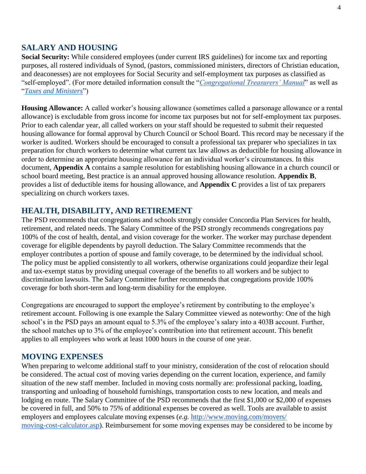#### **SALARY AND HOUSING**

**Social Security:** While considered employees (under current IRS guidelines) for income tax and reporting purposes, all rostered individuals of Synod, (pastors, commissioned ministers, directors of Christian education, and deaconesses) are not employees for Social Security and self-employment tax purposes as classified as "self-employed". (For more detailed information consult the "*[Congregational Treasurers' Manual](http://www.lcms.org/resources/ctmanual)*" as well as "*[Taxes and Ministers](http://be5ce58c3b35ebd67cba-c941712feef4a9ea313a8383615beb0f.r3.cf2.rackcdn.com/uploaded/t/0e5728163_1481755938_taxes-ministers-2016.pdf)*")

**Housing Allowance:** A called worker's housing allowance (sometimes called a parsonage allowance or a rental allowance) is excludable from gross income for income tax purposes but not for self-employment tax purposes. Prior to each calendar year, all called workers on your staff should be requested to submit their requested housing allowance for formal approval by Church Council or School Board. This record may be necessary if the worker is audited. Workers should be encouraged to consult a professional tax preparer who specializes in tax preparation for church workers to determine what current tax law allows as deductible for housing allowance in order to determine an appropriate housing allowance for an individual worker's circumstances. In this document, **Appendix A** contains a sample resolution for establishing housing allowance in a church council or school board meeting, Best practice is an annual approved housing allowance resolution. **Appendix B**, provides a list of deductible items for housing allowance, and **Appendix C** provides a list of tax preparers specializing on church workers taxes.

#### **HEALTH, DISABILITY, AND RETIREMENT**

The PSD recommends that congregations and schools strongly consider Concordia Plan Services for health, retirement, and related needs. The Salary Committee of the PSD strongly recommends congregations pay 100% of the cost of health, dental, and vision coverage for the worker. The worker may purchase dependent coverage for eligible dependents by payroll deduction. The Salary Committee recommends that the employer contributes a portion of spouse and family coverage, to be determined by the individual school. The policy must be applied consistently to all workers, otherwise organizations could jeopardize their legal and tax-exempt status by providing unequal coverage of the benefits to all workers and be subject to discrimination lawsuits. The Salary Committee further recommends that congregations provide 100% coverage for both short-term and long-term disability for the employee.

Congregations are encouraged to support the employee's retirement by contributing to the employee's retirement account. Following is one example the Salary Committee viewed as noteworthy: One of the high school's in the PSD pays an amount equal to 5.3% of the employee's salary into a 403B account. Further, the school matches up to 3% of the employee's contribution into that retirement account. This benefit applies to all employees who work at least 1000 hours in the course of one year.

#### **MOVING EXPENSES**

When preparing to welcome additional staff to your ministry, consideration of the cost of relocation should be considered. The actual cost of moving varies depending on the current location, experience, and family situation of the new staff member. Included in moving costs normally are: professional packing, loading, transporting and unloading of household furnishings, transportation costs to new location, and meals and lodging en route. The Salary Committee of the PSD recommends that the first \$1,000 or \$2,000 of expenses be covered in full, and 50% to 75% of additional expenses be covered as well. Tools are available to assist employers and employees calculate moving expenses (*e.g.* [http://www.moving.com/movers/](http://www.moving.com/movers/moving-cost-calculator.asp) [moving-cost-calculator.asp\)](http://www.moving.com/movers/moving-cost-calculator.asp). Reimbursement for some moving expenses may be considered to be income by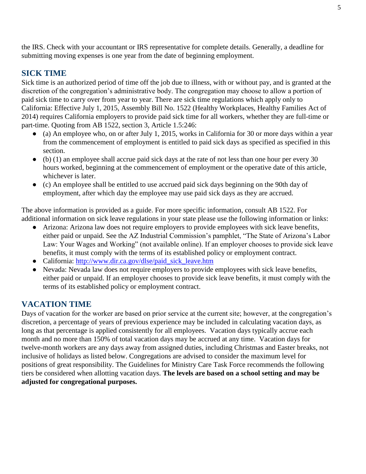the IRS. Check with your accountant or IRS representative for complete details. Generally, a deadline for submitting moving expenses is one year from the date of beginning employment.

# **SICK TIME**

Sick time is an authorized period of time off the job due to illness, with or without pay, and is granted at the discretion of the congregation's administrative body. The congregation may choose to allow a portion of paid sick time to carry over from year to year. There are sick time regulations which apply only to California: Effective July 1, 2015, Assembly Bill No. 1522 (Healthy Workplaces, Healthy Families Act of 2014) requires California employers to provide paid sick time for all workers, whether they are full-time or part-time. Quoting from AB 1522, section 3, Article 1.5:246:

- (a) An employee who, on or after July 1, 2015, works in California for 30 or more days within a year from the commencement of employment is entitled to paid sick days as specified as specified in this section.
- (b) (1) an employee shall accrue paid sick days at the rate of not less than one hour per every 30 hours worked, beginning at the commencement of employment or the operative date of this article, whichever is later.
- (c) An employee shall be entitled to use accrued paid sick days beginning on the 90th day of employment, after which day the employee may use paid sick days as they are accrued.

The above information is provided as a guide. For more specific information, consult AB 1522. For additional information on sick leave regulations in your state please use the following information or links:

- Arizona: Arizona law does not require employers to provide employees with sick leave benefits, either paid or unpaid. See the AZ Industrial Commission's pamphlet, "The State of Arizona's Labor Law: Your Wages and Working" (not available online). If an employer chooses to provide sick leave benefits, it must comply with the terms of its established policy or employment contract.
- California: [http://www.dir.ca.gov/dlse/paid\\_sick\\_leave.htm](http://www.dir.ca.gov/dlse/paid_sick_leave.htm)
- Nevada: Nevada law does not require employers to provide employees with sick leave benefits, either paid or unpaid. If an employer chooses to provide sick leave benefits, it must comply with the terms of its established policy or employment contract.

# **VACATION TIME**

Days of vacation for the worker are based on prior service at the current site; however, at the congregation's discretion, a percentage of years of previous experience may be included in calculating vacation days, as long as that percentage is applied consistently for all employees. Vacation days typically accrue each month and no more than 150% of total vacation days may be accrued at any time. Vacation days for twelve-month workers are any days away from assigned duties, including Christmas and Easter breaks, not inclusive of holidays as listed below. Congregations are advised to consider the maximum level for positions of great responsibility. The Guidelines for Ministry Care Task Force recommends the following tiers be considered when allotting vacation days. **The levels are based on a school setting and may be adjusted for congregational purposes.**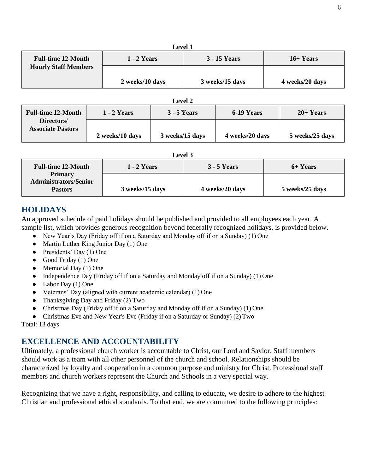| емен т                      |                    |                     |                 |
|-----------------------------|--------------------|---------------------|-----------------|
| <b>Full-time 12-Month</b>   | <b>1 - 2 Years</b> | <b>3 - 15 Years</b> | $16+Years$      |
| <b>Hourly Staff Members</b> |                    |                     |                 |
|                             | 2 weeks/10 days    | 3 weeks/15 days     | 4 weeks/20 days |

| <b>Level 2</b>                         |                    |                    |                 |                 |
|----------------------------------------|--------------------|--------------------|-----------------|-----------------|
| <b>Full-time 12-Month</b>              | <b>1 - 2 Years</b> | <b>3 - 5 Years</b> | 6-19 Years      | $20+Years$      |
| Directors/<br><b>Associate Pastors</b> | 2 weeks/10 days    | 3 weeks/15 days    | 4 weeks/20 days | 5 weeks/25 days |

|--|

| <b>Full-time 12-Month</b>                                        | <b>1 - 2 Years</b> | $3 - 5$ Years   | 6+ Years        |
|------------------------------------------------------------------|--------------------|-----------------|-----------------|
| <b>Primary</b><br><b>Administrators/Senior</b><br><b>Pastors</b> | 3 weeks/15 days    | 4 weeks/20 days | 5 weeks/25 days |

# **HOLIDAYS**

An approved schedule of paid holidays should be published and provided to all employees each year. A sample list, which provides generous recognition beyond federally recognized holidays, is provided below.

- New Year's Day (Friday off if on a Saturday and Monday off if on a Sunday) (1) One
- Martin Luther King Junior Day (1) One
- $\bullet$  Presidents' Day (1) One
- Good Friday (1) One
- $\bullet$  Memorial Day (1) One
- Independence Day (Friday off if on a Saturday and Monday off if on a Sunday) (1) One
- Labor Day (1) One
- Veterans' Day (aligned with current academic calendar) (1) One
- Thanksgiving Day and Friday (2) Two
- Christmas Day (Friday off if on a Saturday and Monday off if on a Sunday) (1) One
- Christmas Eve and New Year's Eve (Friday if on a Saturday or Sunday) (2) Two

Total: 13 days

# **EXCELLENCE AND ACCOUNTABILITY**

Ultimately, a professional church worker is accountable to Christ, our Lord and Savior. Staff members should work as a team with all other personnel of the church and school. Relationships should be characterized by loyalty and cooperation in a common purpose and ministry for Christ. Professional staff members and church workers represent the Church and Schools in a very special way.

Recognizing that we have a right, responsibility, and calling to educate, we desire to adhere to the highest Christian and professional ethical standards. To that end, we are committed to the following principles:

**Level 1**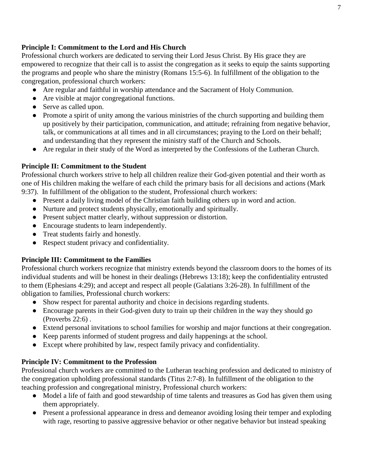#### **Principle I: Commitment to the Lord and His Church**

Professional church workers are dedicated to serving their Lord Jesus Christ. By His grace they are empowered to recognize that their call is to assist the congregation as it seeks to equip the saints supporting the programs and people who share the ministry (Romans 15:5-6). In fulfillment of the obligation to the congregation, professional church workers:

- Are regular and faithful in worship attendance and the Sacrament of Holy Communion.
- Are visible at major congregational functions.
- Serve as called upon.
- Promote a spirit of unity among the various ministries of the church supporting and building them up positively by their participation, communication, and attitude; refraining from negative behavior, talk, or communications at all times and in all circumstances; praying to the Lord on their behalf; and understanding that they represent the ministry staff of the Church and Schools.
- Are regular in their study of the Word as interpreted by the Confessions of the Lutheran Church.

#### **Principle II: Commitment to the Student**

Professional church workers strive to help all children realize their God-given potential and their worth as one of His children making the welfare of each child the primary basis for all decisions and actions (Mark 9:37). In fulfillment of the obligation to the student, Professional church workers:

- Present a daily living model of the Christian faith building others up in word and action.
- Nurture and protect students physically, emotionally and spiritually.
- Present subject matter clearly, without suppression or distortion.
- Encourage students to learn independently.
- Treat students fairly and honestly.
- Respect student privacy and confidentiality.

#### **Principle III: Commitment to the Families**

Professional church workers recognize that ministry extends beyond the classroom doors to the homes of its individual students and will be honest in their dealings (Hebrews 13:18); keep the confidentiality entrusted to them (Ephesians 4:29); and accept and respect all people (Galatians 3:26-28). In fulfillment of the obligation to families, Professional church workers:

- Show respect for parental authority and choice in decisions regarding students.
- Encourage parents in their God-given duty to train up their children in the way they should go (Proverbs 22:6) .
- Extend personal invitations to school families for worship and major functions at their congregation.
- Keep parents informed of student progress and daily happenings at the school.
- Except where prohibited by law, respect family privacy and confidentiality.

#### **Principle IV: Commitment to the Profession**

Professional church workers are committed to the Lutheran teaching profession and dedicated to ministry of the congregation upholding professional standards (Titus 2:7-8). In fulfillment of the obligation to the teaching profession and congregational ministry, Professional church workers:

- Model a life of faith and good stewardship of time talents and treasures as God has given them using them appropriately.
- Present a professional appearance in dress and demeanor avoiding losing their temper and exploding with rage, resorting to passive aggressive behavior or other negative behavior but instead speaking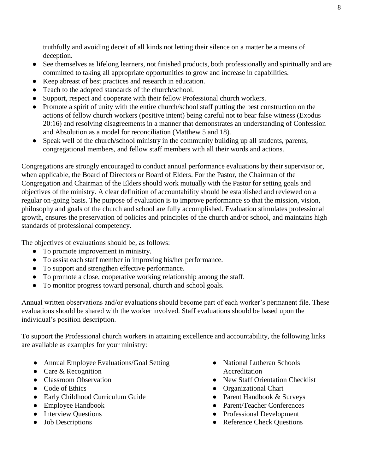truthfully and avoiding deceit of all kinds not letting their silence on a matter be a means of deception.

- See themselves as lifelong learners, not finished products, both professionally and spiritually and are committed to taking all appropriate opportunities to grow and increase in capabilities.
- Keep abreast of best practices and research in education.
- Teach to the adopted standards of the church/school.
- Support, respect and cooperate with their fellow Professional church workers.
- Promote a spirit of unity with the entire church/school staff putting the best construction on the actions of fellow church workers (positive intent) being careful not to bear false witness (Exodus 20:16) and resolving disagreements in a manner that demonstrates an understanding of Confession and Absolution as a model for reconciliation (Matthew 5 and 18).
- Speak well of the church/school ministry in the community building up all students, parents, congregational members, and fellow staff members with all their words and actions.

Congregations are strongly encouraged to conduct annual performance evaluations by their supervisor or, when applicable, the Board of Directors or Board of Elders. For the Pastor, the Chairman of the Congregation and Chairman of the Elders should work mutually with the Pastor for setting goals and objectives of the ministry. A clear definition of accountability should be established and reviewed on a regular on-going basis. The purpose of evaluation is to improve performance so that the mission, vision, philosophy and goals of the church and school are fully accomplished. Evaluation stimulates professional growth, ensures the preservation of policies and principles of the church and/or school, and maintains high standards of professional competency.

The objectives of evaluations should be, as follows:

- To promote improvement in ministry.
- To assist each staff member in improving his/her performance.
- To support and strengthen effective performance.
- To promote a close, cooperative working relationship among the staff.
- To monitor progress toward personal, church and school goals.

Annual written observations and/or evaluations should become part of each worker's permanent file. These evaluations should be shared with the worker involved. Staff evaluations should be based upon the individual's position description.

To support the Professional church workers in attaining excellence and accountability, the following links are available as examples for your ministry:

- Annual Employee Evaluations/Goal Setting
- Care & Recognition
- Classroom Observation
- Code of Ethics
- Early Childhood Curriculum Guide
- Employee Handbook
- Interview Questions
- Job Descriptions
- National Lutheran Schools Accreditation
- New Staff Orientation Checklist
- Organizational Chart
- Parent Handbook & Surveys
- Parent/Teacher Conferences
- Professional Development
- Reference Check Questions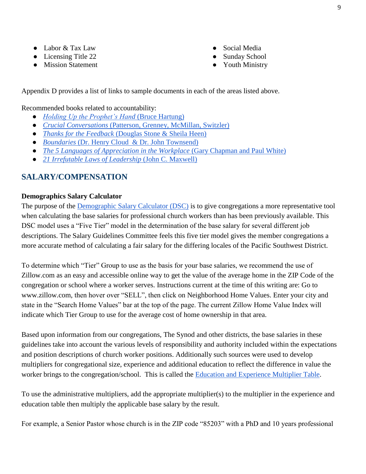- Labor & Tax Law
- Licensing Title 22
- Mission Statement
- Social Media
- Sunday School
- Youth Ministry

Appendix D provides a list of links to sample documents in each of the areas listed above.

Recommended books related to accountability:

- *[Holding Up the Prophet's Hand](https://www.cph.org/p-7269-holding-up-the-prophets-hand-supporting-church-workers.aspx)* [\(Bruce Hartung\)](https://www.cph.org/p-7269-holding-up-the-prophets-hand-supporting-church-workers.aspx)
- *[Crucial Conversations](https://www.amazon.com/Crucial-Conversations-Talking-Stakes-Second/dp/0071771328/ref%3Dmt_paperback?_encoding=UTF8&me)* [\(Patterson, Grenney, McMillan, Switzler\)](https://www.amazon.com/Crucial-Conversations-Talking-Stakes-Second/dp/0071771328/ref%3Dmt_paperback?_encoding=UTF8&me)
- *[Thanks for the Feedback](https://www.amazon.com/Thanks-Feedback-Science-Receiving-Well/dp/0143127136/ref%3Dsr_1_1_twi_pap_2?s=books&ie=UTF8&qid=1476740349&sr=1-1&keywords=thanks%2Bfor%2Bthe%2Bfeedback)* [\(Douglas Stone & Sheila Heen\)](https://www.amazon.com/Thanks-Feedback-Science-Receiving-Well/dp/0143127136/ref%3Dsr_1_1_twi_pap_2?s=books&ie=UTF8&qid=1476740349&sr=1-1&keywords=thanks%2Bfor%2Bthe%2Bfeedback)
- *[Boundaries](https://www.amazon.com/Boundaries-When-Say-Yes-How-ebook/dp/B000FC2K9W/ref%3Dsr_1_1?s=books&ie=UTF8&qid=1476740375&sr=1-1&keywords=boundaries)* [\(Dr. Henry Cloud & Dr. John Townsend\)](https://www.amazon.com/Boundaries-When-Say-Yes-How-ebook/dp/B000FC2K9W/ref%3Dsr_1_1?s=books&ie=UTF8&qid=1476740375&sr=1-1&keywords=boundaries)
- *● [The 5 Languages of Appreciation in the Workplace](https://www.amazon.com/Languages-Appreciation-Workplace-Organizations-Encouraging/dp/080246176X/ref%3Dsr_1_1_twi_pap_2?s=books&ie=UTF8&qid=1476740397&sr=1-1&keywords=The%2B5%2BLanguages%2Bof%2BAppreciation%2Bin%2Bthe%2BWorkplace)* [\(Gary Chapman and Paul White\)](https://www.amazon.com/Languages-Appreciation-Workplace-Organizations-Encouraging/dp/080246176X/ref%3Dsr_1_1_twi_pap_2?s=books&ie=UTF8&qid=1476740397&sr=1-1&keywords=The%2B5%2BLanguages%2Bof%2BAppreciation%2Bin%2Bthe%2BWorkplace)
- *[21 Irrefutable Laws of Leadership](https://www.amazon.com/21-Irrefutable-Laws-Leadership-Anniversary/dp/0785288376/ref%3Dsr_1_1_twi_har_2?s=books&ie=UTF8&qid=1476740418&sr=1-1&keywords=21%2BIrrefutable%2BLaws%2Bof%2BLeadership)* [\(John C. Maxwell\)](https://www.amazon.com/21-Irrefutable-Laws-Leadership-Anniversary/dp/0785288376/ref%3Dsr_1_1_twi_har_2?s=books&ie=UTF8&qid=1476740418&sr=1-1&keywords=21%2BIrrefutable%2BLaws%2Bof%2BLeadership)

# **SALARY/COMPENSATION**

#### **Demographics Salary Calculator**

The purpose of the [Demographic Salary Calculator \(DSC\)](http://be5ce58c3b35ebd67cba-c941712feef4a9ea313a8383615beb0f.r3.cf2.rackcdn.com/uploaded/d/0e5728161_1481755914_demographic-salary-calculator-2017.pdf) is to give congregations a more representative tool when calculating the base salaries for professional church workers than has been previously available. This DSC model uses a "Five Tier" model in the determination of the base salary for several different job descriptions. The Salary Guidelines Committee feels this five tier model gives the member congregations a more accurate method of calculating a fair salary for the differing locales of the Pacific Southwest District.

To determine which "Tier" Group to use as the basis for your base salaries, we recommend the use of Zillow.com as an easy and accessible online way to get the value of the average home in the ZIP Code of the congregation or school where a worker serves. Instructions current at the time of this writing are: Go to [www.zillow.com,](http://www.zillow.com/) then hover over "SELL", then click on Neighborhood Home Values. Enter your city and state in the "Search Home Values" bar at the top of the page. The current Zillow Home Value Index will indicate which Tier Group to use for the average cost of home ownership in that area.

Based upon information from our congregations, The Synod and other districts, the base salaries in these guidelines take into account the various levels of responsibility and authority included within the expectations and position descriptions of church worker positions. Additionally such sources were used to develop multipliers for congregational size, experience and additional education to reflect the difference in value the worker brings to the congregation/school. This is called the [Education and Experience Multiplier Table.](http://be5ce58c3b35ebd67cba-c941712feef4a9ea313a8383615beb0f.r3.cf2.rackcdn.com/uploaded/e/0e5728162_1481755925_education-and-experience-multiplier-table.pdf)

To use the administrative multipliers, add the appropriate multiplier(s) to the multiplier in the experience and education table then multiply the applicable base salary by the result.

For example, a Senior Pastor whose church is in the ZIP code "85203" with a PhD and 10 years professional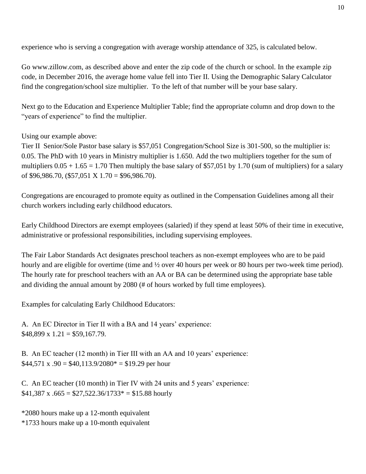experience who is serving a congregation with average worship attendance of 325, is calculated below.

[Go www.zillow.com,](http://www.zillow.com/) as described above and enter the zip code of the church or school. In the example zip code, in December 2016, the average home value fell into Tier II. Using the Demographic Salary Calculator find the congregation/school size multiplier. To the left of that number will be your base salary.

Next go to the Education and Experience Multiplier Table; find the appropriate column and drop down to the "years of experience" to find the multiplier.

Using our example above:

Tier II Senior/Sole Pastor base salary is \$57,051 Congregation/School Size is 301-500, so the multiplier is: 0.05. The PhD with 10 years in Ministry multiplier is 1.650. Add the two multipliers together for the sum of multipliers  $0.05 + 1.65 = 1.70$  Then multiply the base salary of \$57,051 by 1.70 (sum of multipliers) for a salary of \$96,986.70, (\$57,051 X  $1.70 = $96,986.70$ ).

Congregations are encouraged to promote equity as outlined in the Compensation Guidelines among all their church workers including early childhood educators.

Early Childhood Directors are exempt employees (salaried) if they spend at least 50% of their time in executive, administrative or professional responsibilities, including supervising employees.

The Fair Labor Standards Act designates preschool teachers as non-exempt employees who are to be paid hourly and are eligible for overtime (time and  $\frac{1}{2}$  over 40 hours per week or 80 hours per two-week time period). The hourly rate for preschool teachers with an AA or BA can be determined using the appropriate base table and dividing the annual amount by 2080 (# of hours worked by full time employees).

Examples for calculating Early Childhood Educators:

A. An EC Director in Tier II with a BA and 14 years' experience:  $$48,899 \times 1.21 = $59,167.79.$ 

B. An EC teacher (12 month) in Tier III with an AA and 10 years' experience:  $$44,571 \text{ x } .90 = $40,113.9/2080^* = $19.29 \text{ per hour}$ 

C. An EC teacher (10 month) in Tier IV with 24 units and 5 years' experience:  $$41,387$  x  $.665 = $27,522.36/1733* = $15.88$  hourly

\*2080 hours make up a 12-month equivalent \*1733 hours make up a 10-month equivalent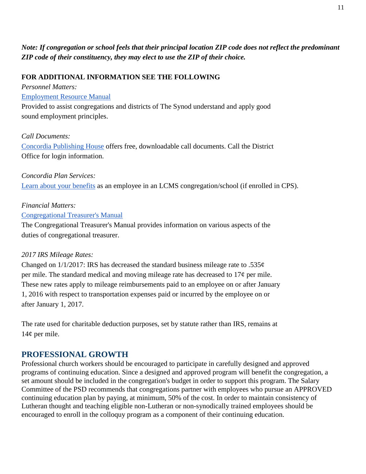# *Note: If congregation or school feels that their principal location ZIP code does not reflect the predominant ZIP code of their constituency, they may elect to use the ZIP of their choice.*

#### **FOR ADDITIONAL INFORMATION SEE THE FOLLOWING**

*Personnel Matters:*

#### [Employment Resource Manual](https://drive.google.com/file/d/0B3rOg77dgAmIZExmcm5pOFMwVkU/view)

Provided to assist congregations and districts of The Synod understand and apply good sound employment principles.

#### *Call Documents:*

[Concordia Publishing House](http://sites.cph.org/calls/faq.asp) offers free, downloadable call documents. Call the District Office for login information.

*Concordia Plan Services:* [Learn about your benefits](http://www.concordiaplans.org/) as an employee in an LCMS congregation/school (if enrolled in CPS).

#### *Financial Matters:*

[Congregational Treasurer's Manual](http://www.lcms.org/resources/ctmanual)

The Congregational Treasurer's Manual provides information on various aspects of the duties of congregational treasurer.

#### *2017 IRS Mileage Rates:*

Changed on  $1/1/2017$ : IRS has decreased the standard business mileage rate to .535 $\varphi$ per mile. The standard medical and moving mileage rate has decreased to  $17¢$  per mile. These new rates apply to mileage reimbursements paid to an employee on or after January 1, 2016 with respect to transportation expenses paid or incurred by the employee on or after January 1, 2017.

The rate used for charitable deduction purposes, set by statute rather than IRS, remains at 14¢ per mile.

# **PROFESSIONAL GROWTH**

Professional church workers should be encouraged to participate in carefully designed and approved programs of continuing education. Since a designed and approved program will benefit the congregation, a set amount should be included in the congregation's budget in order to support this program. The Salary Committee of the PSD recommends that congregations partner with employees who pursue an APPROVED continuing education plan by paying, at minimum, 50% of the cost. In order to maintain consistency of Lutheran thought and teaching eligible non-Lutheran or non-synodically trained employees should be encouraged to enroll in the colloquy program as a component of their continuing education.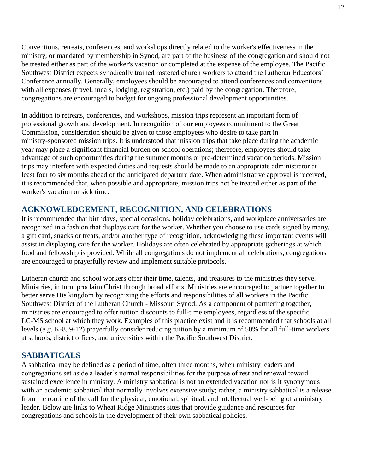Conventions, retreats, conferences, and workshops directly related to the worker's effectiveness in the ministry, or mandated by membership in Synod, are part of the business of the congregation and should not be treated either as part of the worker's vacation or completed at the expense of the employee. The Pacific Southwest District expects synodically trained rostered church workers to attend the Lutheran Educators' Conference annually. Generally, employees should be encouraged to attend conferences and conventions with all expenses (travel, meals, lodging, registration, etc.) paid by the congregation. Therefore, congregations are encouraged to budget for ongoing professional development opportunities.

In addition to retreats, conferences, and workshops, mission trips represent an important form of professional growth and development. In recognition of our employees commitment to the Great Commission, consideration should be given to those employees who desire to take part in ministry-sponsored mission trips. It is understood that mission trips that take place during the academic year may place a significant financial burden on school operations; therefore, employees should take advantage of such opportunities during the summer months or pre-determined vacation periods. Mission trips may interfere with expected duties and requests should be made to an appropriate administrator at least four to six months ahead of the anticipated departure date. When administrative approval is received, it is recommended that, when possible and appropriate, mission trips not be treated either as part of the worker's vacation or sick time.

# **ACKNOWLEDGEMENT, RECOGNITION, AND CELEBRATIONS**

It is recommended that birthdays, special occasions, holiday celebrations, and workplace anniversaries are recognized in a fashion that displays care for the worker. Whether you choose to use cards signed by many, a gift card, snacks or treats, and/or another type of recognition, acknowledging these important events will assist in displaying care for the worker. Holidays are often celebrated by appropriate gatherings at which food and fellowship is provided. While all congregations do not implement all celebrations, congregations are encouraged to prayerfully review and implement suitable protocols.

Lutheran church and school workers offer their time, talents, and treasures to the ministries they serve. Ministries, in turn, proclaim Christ through broad efforts. Ministries are encouraged to partner together to better serve His kingdom by recognizing the efforts and responsibilities of all workers in the Pacific Southwest District of the Lutheran Church - Missouri Synod. As a component of partnering together, ministries are encouraged to offer tuition discounts to full-time employees, regardless of the specific LC-MS school at which they work. Examples of this practice exist and it is recommended that schools at all levels (*e.g.* K-8, 9-12) prayerfully consider reducing tuition by a minimum of 50% for all full-time workers at schools, district offices, and universities within the Pacific Southwest District.

# **SABBATICALS**

A sabbatical may be defined as a period of time, often three months, when ministry leaders and congregations set aside a leader's normal responsibilities for the purpose of rest and renewal toward sustained excellence in ministry. A ministry sabbatical is not an extended vacation nor is it synonymous with an academic sabbatical that normally involves extensive study; rather, a ministry sabbatical is a release from the routine of the call for the physical, emotional, spiritual, and intellectual well-being of a ministry leader. Below are links to Wheat Ridge Ministries sites that provide guidance and resources for congregations and schools in the development of their own sabbatical policies.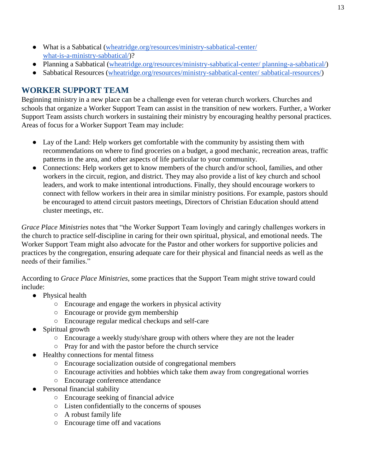- What is a Sabbatical [\(wheatridge.org/resources/ministry-sabbatical-center/](https://www.wheatridge.org/resources/ministry-sabbatical-center/what-is-a-ministry-sabbatical/) [what-is-a-ministry-sabbatical/\)](https://www.wheatridge.org/resources/ministry-sabbatical-center/what-is-a-ministry-sabbatical/)?
- Planning a Sabbatical [\(wheatridge.org/resources/ministry-sabbatical-center/ planning-a-sabbatical/\)](https://www.wheatridge.org/resources/ministry-sabbatical-center/planning-a-sabbatical/)
- Sabbatical Resources [\(wheatridge.org/resources/ministry-sabbatical-center/ sabbatical-resources/\)](https://www.wheatridge.org/resources/ministry-sabbatical-center/sabbatical-resources/)

# **WORKER SUPPORT TEAM**

Beginning ministry in a new place can be a challenge even for veteran church workers. Churches and schools that organize a Worker Support Team can assist in the transition of new workers. Further, a Worker Support Team assists church workers in sustaining their ministry by encouraging healthy personal practices. Areas of focus for a Worker Support Team may include:

- Lay of the Land: Help workers get comfortable with the community by assisting them with recommendations on where to find groceries on a budget, a good mechanic, recreation areas, traffic patterns in the area, and other aspects of life particular to your community.
- Connections: Help workers get to know members of the church and/or school, families, and other workers in the circuit, region, and district. They may also provide a list of key church and school leaders, and work to make intentional introductions. Finally, they should encourage workers to connect with fellow workers in their area in similar ministry positions. For example, pastors should be encouraged to attend circuit pastors meetings, Directors of Christian Education should attend cluster meetings, etc.

*Grace Place Ministries* notes that "the Worker Support Team lovingly and caringly challenges workers in the church to practice self-discipline in caring for their own spiritual, physical, and emotional needs. The Worker Support Team might also advocate for the Pastor and other workers for supportive policies and practices by the congregation, ensuring adequate care for their physical and financial needs as well as the needs of their families."

According to *Grace Place Ministries*, some practices that the Support Team might strive toward could include:

- Physical health
	- Encourage and engage the workers in physical activity
	- Encourage or provide gym membership
	- Encourage regular medical checkups and self-care
- Spiritual growth
	- Encourage a weekly study/share group with others where they are not the leader
	- Pray for and with the pastor before the church service
- Healthy connections for mental fitness
	- Encourage socialization outside of congregational members
	- Encourage activities and hobbies which take them away from congregational worries
	- Encourage conference attendance
- Personal financial stability
	- Encourage seeking of financial advice
	- Listen confidentially to the concerns of spouses
	- A robust family life
	- Encourage time off and vacations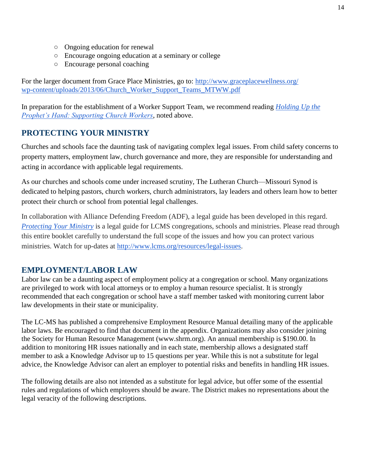- Ongoing education for renewal
- Encourage ongoing education at a seminary or college
- Encourage personal coaching

For the larger document from Grace Place Ministries, go to: [http://www.graceplacewellness.org/](http://www.graceplacewellness.org/wp-content/uploads/2013/06/Church_Worker_Support_Teams_MTWW.pdf) [wp-content/uploads/2013/06/Church\\_Worker\\_Support\\_Teams\\_MTWW.pdf](http://www.graceplacewellness.org/wp-content/uploads/2013/06/Church_Worker_Support_Teams_MTWW.pdf)

In preparation for the establishment of a Worker Support Team, we recommend reading *[Holding Up the](https://www.amazon.com/Crucial-Conversations-Talking-Stakes-Second/dp/0071771328/ref%3Dmt_paperback?_encoding=UTF8&me) [Prophet's Hand: Supporting Church Workers](https://www.amazon.com/Crucial-Conversations-Talking-Stakes-Second/dp/0071771328/ref%3Dmt_paperback?_encoding=UTF8&me)*, noted above.

# **PROTECTING YOUR MINISTRY**

Churches and schools face the daunting task of navigating complex legal issues. From child safety concerns to property matters, employment law, church governance and more, they are responsible for understanding and acting in accordance with applicable legal requirements.

As our churches and schools come under increased scrutiny, The Lutheran Church—Missouri Synod is dedicated to helping pastors, church workers, church administrators, lay leaders and others learn how to better protect their church or school from potential legal challenges.

In collaboration with Alliance Defending Freedom (ADF), a legal guide has been developed in this regard. *[Protecting Your Ministry](http://be5ce58c3b35ebd67cba-c941712feef4a9ea313a8383615beb0f.r3.cf2.rackcdn.com/uploaded/a/0e5350829_1471388243_adfdcaprotectyourministrylcmsscreen2016081111.pdf)* is a legal guide for LCMS congregations, schools and ministries. Please read through this entire booklet carefully to understand the full scope of the issues and how you can protect various ministries. Watch for up-dates at [http://www.lcms.org/resources/legal-issues.](http://www.lcms.org/resources/legal-issues)

#### **EMPLOYMENT/LABOR LAW**

Labor law can be a daunting aspect of employment policy at a congregation or school. Many organizations are privileged to work with local attorneys or to employ a human resource specialist. It is strongly recommended that each congregation or school have a staff member tasked with monitoring current labor law developments in their state or municipality.

The LC-MS has published a comprehensive Employment Resource Manual detailing many of the applicable labor laws. Be encouraged to find that document in the appendix. Organizations may also consider joining the Society for Human Resource Management (www.shrm.org). An annual membership is \$190.00. In addition to monitoring HR issues nationally and in each state, membership allows a designated staff member to ask a Knowledge Advisor up to 15 questions per year. While this is not a substitute for legal advice, the Knowledge Advisor can alert an employer to potential risks and benefits in handling HR issues.

The following details are also not intended as a substitute for legal advice, but offer some of the essential rules and regulations of which employers should be aware. The District makes no representations about the legal veracity of the following descriptions.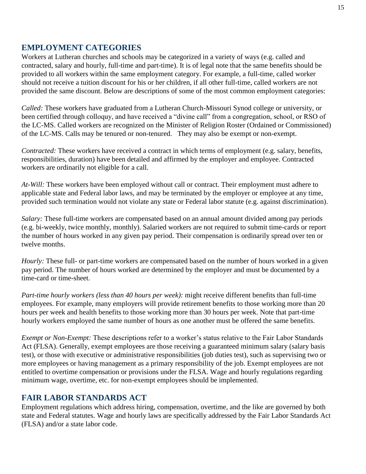# **EMPLOYMENT CATEGORIES**

Workers at Lutheran churches and schools may be categorized in a variety of ways (e.g. called and contracted, salary and hourly, full-time and part-time). It is of legal note that the same benefits should be provided to all workers within the same employment category. For example, a full-time, called worker should not receive a tuition discount for his or her children, if all other full-time, called workers are not provided the same discount. Below are descriptions of some of the most common employment categories:

*Called:* These workers have graduated from a Lutheran Church-Missouri Synod college or university, or been certified through colloquy, and have received a "divine call" from a congregation, school, or RSO of the LC-MS. Called workers are recognized on the Minister of Religion Roster (Ordained or Commissioned) of the LC-MS. Calls may be tenured or non-tenured. They may also be exempt or non-exempt.

*Contracted:* These workers have received a contract in which terms of employment (e.g. salary, benefits, responsibilities, duration) have been detailed and affirmed by the employer and employee. Contracted workers are ordinarily not eligible for a call.

*At-Will:* These workers have been employed without call or contract. Their employment must adhere to applicable state and Federal labor laws, and may be terminated by the employer or employee at any time, provided such termination would not violate any state or Federal labor statute (e.g. against discrimination).

*Salary:* These full-time workers are compensated based on an annual amount divided among pay periods (e.g. bi-weekly, twice monthly, monthly). Salaried workers are not required to submit time-cards or report the number of hours worked in any given pay period. Their compensation is ordinarily spread over ten or twelve months.

*Hourly:* These full- or part-time workers are compensated based on the number of hours worked in a given pay period. The number of hours worked are determined by the employer and must be documented by a time-card or time-sheet.

*Part-time hourly workers (less than 40 hours per week):* might receive different benefits than full-time employees. For example, many employers will provide retirement benefits to those working more than 20 hours per week and health benefits to those working more than 30 hours per week. Note that part-time hourly workers employed the same number of hours as one another must be offered the same benefits.

*Exempt or Non-Exempt:* These descriptions refer to a worker's status relative to the Fair Labor Standards Act (FLSA). Generally, exempt employees are those receiving a guaranteed minimum salary (salary basis test), or those with executive or administrative responsibilities (job duties test), such as supervising two or more employees or having management as a primary responsibility of the job. Exempt employees are not entitled to overtime compensation or provisions under the FLSA. Wage and hourly regulations regarding minimum wage, overtime, etc. for non-exempt employees should be implemented.

# **FAIR LABOR STANDARDS ACT**

Employment regulations which address hiring, compensation, overtime, and the like are governed by both state and Federal statutes. Wage and hourly laws are specifically addressed by the Fair Labor Standards Act (FLSA) and/or a state labor code.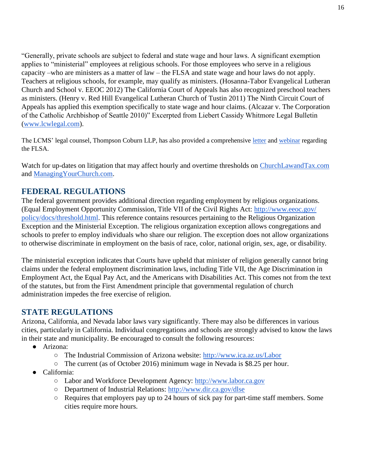"Generally, private schools are subject to federal and state wage and hour laws. A significant exemption applies to "ministerial" employees at religious schools. For those employees who serve in a religious capacity –who are ministers as a matter of law – the FLSA and state wage and hour laws do not apply. Teachers at religious schools, for example, may qualify as ministers. (Hosanna-Tabor Evangelical Lutheran Church and School v. EEOC 2012) The California Court of Appeals has also recognized preschool teachers as ministers. (Henry v. Red Hill Evangelical Lutheran Church of Tustin 2011) The Ninth Circuit Court of Appeals has applied this exemption specifically to state wage and hour claims. (Alcazar v. The Corporation of the Catholic Archbishop of Seattle 2010)" Excerpted from Liebert Cassidy Whitmore Legal Bulletin [\(www.lcwlegal.com\)](http://www.lcwlegal.com/).

The LCMS' legal counsel, Thompson Coburn LLP, has also provided a comprehensive [letter](https://drive.google.com/open?id=0B0C4WsMLO2tuRGVZZEV1a1dJLTA) an[d webinar](http://blogs.lcms.org/2016/webinar-explains-new-overtime-regulations) regarding the FLSA.

Watch for up-dates on litigation that may affect hourly and overtime thresholds on [ChurchLawandTax.com](http://www.churchlawandtax.com/) and [ManagingYourChurch.com.](http://www.churchlawandtax.com/blog/)

# **FEDERAL REGULATIONS**

The federal government provides additional direction regarding employment by religious organizations. (Equal Employment Opportunity Commission, Title VII of the Civil Rights Act: [http://www.eeoc.gov/](http://www.eeoc.gov/policy/docs/threshold.html) [policy/docs/threshold.html.](http://www.eeoc.gov/policy/docs/threshold.html) This reference contains resources pertaining to the Religious Organization Exception and the Ministerial Exception. The religious organization exception allows congregations and schools to prefer to employ individuals who share our religion. The exception does not allow organizations to otherwise discriminate in employment on the basis of race, color, national origin, sex, age, or disability.

The ministerial exception indicates that Courts have upheld that minister of religion generally cannot bring claims under the federal employment discrimination laws, including Title VII, the Age Discrimination in Employment Act, the Equal Pay Act, and the Americans with Disabilities Act. This comes not from the text of the statutes, but from the First Amendment principle that governmental regulation of church administration impedes the free exercise of religion.

# **STATE REGULATIONS**

Arizona, California, and Nevada labor laws vary significantly. There may also be differences in various cities, particularly in California. Individual congregations and schools are strongly advised to know the laws in their state and municipality. Be encouraged to consult the following resources:

- Arizona:
	- The Industrial Commission of Arizona website: <http://www.ica.az.us/Labor>
	- The current (as of October 2016) minimum wage in Nevada is \$8.25 per hour.
- California:
	- Labor and Workforce Development Agency: [http://www.labor.ca.gov](http://www.labor.ca.gov/)
	- Department of Industrial Relations: <http://www.dir.ca.gov/dlse>
	- Requires that employers pay up to 24 hours of sick pay for part-time staff members. Some cities require more hours.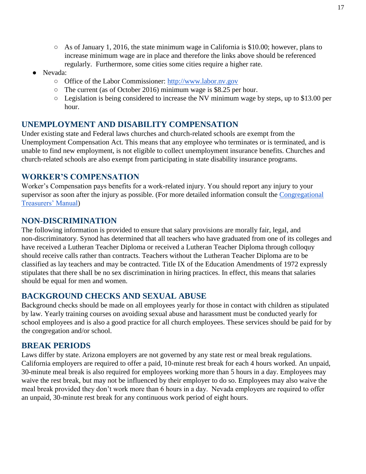- $\circ$  As of January 1, 2016, the state minimum wage in California is \$10.00; however, plans to increase minimum wage are in place and therefore the links above should be referenced regularly. Furthermore, some cities some cities require a higher rate.
- Nevada:
	- Office of the Labor Commissioner: [http://www.labor.nv.gov](http://www.labor.nv.gov/)
	- The current (as of October 2016) minimum wage is \$8.25 per hour.
	- Legislation is being considered to increase the NV minimum wage by steps, up to \$13.00 per hour.

# **UNEMPLOYMENT AND DISABILITY COMPENSATION**

Under existing state and Federal laws churches and church-related schools are exempt from the Unemployment Compensation Act. This means that any employee who terminates or is terminated, and is unable to find new employment, is not eligible to collect unemployment insurance benefits. Churches and church-related schools are also exempt from participating in state disability insurance programs.

# **WORKER'S COMPENSATION**

Worker's Compensation pays benefits for a work-related injury. You should report any injury to your supervisor as soon after the injury as possible. (For more detailed information consult the [Congregational](http://www.lcms.org/resources/ctmanual) [Treasurers' Manual\)](http://www.lcms.org/resources/ctmanual)

# **NON-DISCRIMINATION**

The following information is provided to ensure that salary provisions are morally fair, legal, and non-discriminatory. Synod has determined that all teachers who have graduated from one of its colleges and have received a Lutheran Teacher Diploma or received a Lutheran Teacher Diploma through colloquy should receive calls rather than contracts. Teachers without the Lutheran Teacher Diploma are to be classified as lay teachers and may be contracted. Title IX of the Education Amendments of 1972 expressly stipulates that there shall be no sex discrimination in hiring practices. In effect, this means that salaries should be equal for men and women.

#### **BACKGROUND CHECKS AND SEXUAL ABUSE**

Background checks should be made on all employees yearly for those in contact with children as stipulated by law. Yearly training courses on avoiding sexual abuse and harassment must be conducted yearly for school employees and is also a good practice for all church employees. These services should be paid for by the congregation and/or school.

#### **BREAK PERIODS**

Laws differ by state. Arizona employers are not governed by any state rest or meal break regulations. California employers are required to offer a paid, 10-minute rest break for each 4 hours worked. An unpaid, 30-minute meal break is also required for employees working more than 5 hours in a day. Employees may waive the rest break, but may not be influenced by their employer to do so. Employees may also waive the meal break provided they don't work more than 6 hours in a day. Nevada employers are required to offer an unpaid, 30-minute rest break for any continuous work period of eight hours.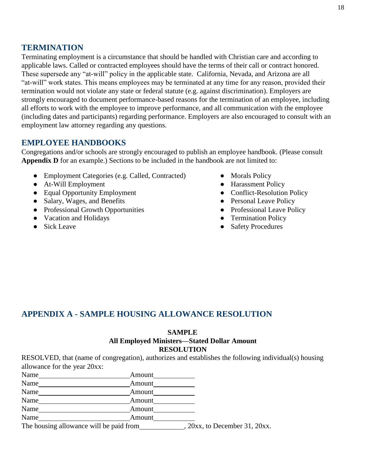#### **TERMINATION**

Terminating employment is a circumstance that should be handled with Christian care and according to applicable laws. Called or contracted employees should have the terms of their call or contract honored. These supersede any "at-will" policy in the applicable state. California, Nevada, and Arizona are all "at-will" work states. This means employees may be terminated at any time for any reason, provided their termination would not violate any state or federal statute (e.g. against discrimination). Employers are strongly encouraged to document performance-based reasons for the termination of an employee, including all efforts to work with the employee to improve performance, and all communication with the employee (including dates and participants) regarding performance. Employers are also encouraged to consult with an employment law attorney regarding any questions.

# **EMPLOYEE HANDBOOKS**

Congregations and/or schools are strongly encouraged to publish an employee handbook. (Please consult **Appendix D** for an example.) Sections to be included in the handbook are not limited to:

- Employment Categories (e.g. Called, Contracted)
- At-Will Employment
- Equal Opportunity Employment
- Salary, Wages, and Benefits
- Professional Growth Opportunities
- Vacation and Holidays
- Sick Leave
- Morals Policy
- Harassment Policy
- Conflict-Resolution Policy
- Personal Leave Policy
- Professional Leave Policy
- Termination Policy
- Safety Procedures

# **APPENDIX A - SAMPLE HOUSING ALLOWANCE RESOLUTION**

#### **SAMPLE**

#### **All Employed Ministers—Stated Dollar Amount RESOLUTION**

RESOLVED, that (name of congregation), authorizes and establishes the following individual(s) housing allowance for the year 20xx:

| Name                                    | Amount                         |
|-----------------------------------------|--------------------------------|
| Name                                    | Amount                         |
| Name                                    | Amount                         |
| Name                                    | Amount                         |
| Name                                    | Amount                         |
| Name                                    | Amount                         |
| The housing allowance will be paid from | $20xx$ , to December 31, 20xx. |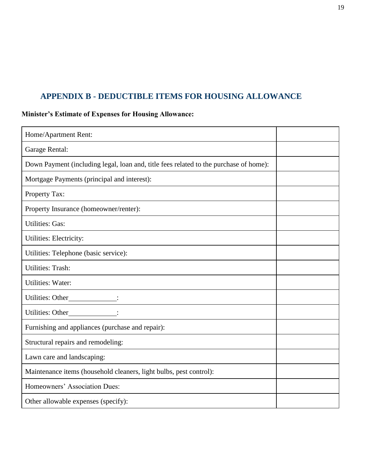# **APPENDIX B - DEDUCTIBLE ITEMS FOR HOUSING ALLOWANCE**

# **Minister's Estimate of Expenses for Housing Allowance:**

| Home/Apartment Rent:                                                                  |  |
|---------------------------------------------------------------------------------------|--|
| Garage Rental:                                                                        |  |
| Down Payment (including legal, loan and, title fees related to the purchase of home): |  |
| Mortgage Payments (principal and interest):                                           |  |
| Property Tax:                                                                         |  |
| Property Insurance (homeowner/renter):                                                |  |
| <b>Utilities: Gas:</b>                                                                |  |
| Utilities: Electricity:                                                               |  |
| Utilities: Telephone (basic service):                                                 |  |
| <b>Utilities: Trash:</b>                                                              |  |
| <b>Utilities: Water:</b>                                                              |  |
| Utilities: Other______________:                                                       |  |
| Utilities: Other                                                                      |  |
| Furnishing and appliances (purchase and repair):                                      |  |
| Structural repairs and remodeling:                                                    |  |
| Lawn care and landscaping:                                                            |  |
| Maintenance items (household cleaners, light bulbs, pest control):                    |  |
| Homeowners' Association Dues:                                                         |  |
| Other allowable expenses (specify):                                                   |  |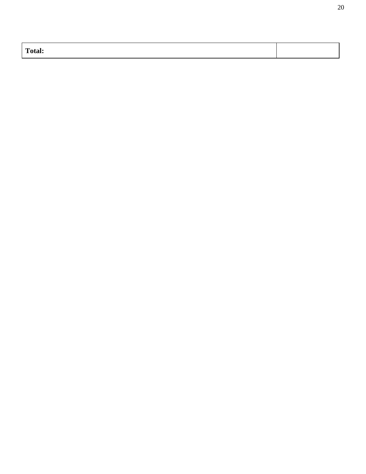| <b>CONTINUES</b><br>``otal: |  |
|-----------------------------|--|
|                             |  |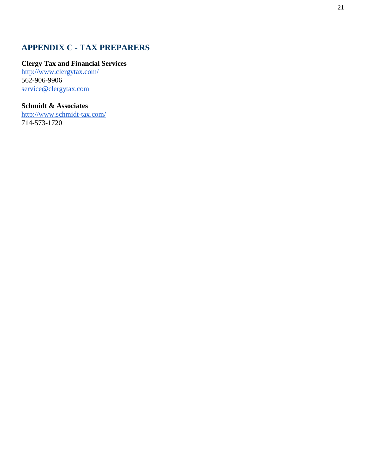# **APPENDIX C - TAX PREPARERS**

#### **Clergy Tax and Financial Services**

<http://www.clergytax.com/> 562 -906 -9906 [service@clergytax.com](mailto:service@clergytax.com)

#### **Schmidt & Associates**

[http://www.schmidt](http://www.schmidt-tax.com/) -tax.com/ 714 -573 -1720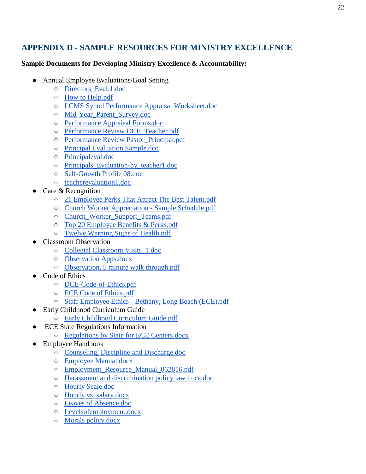# **APPENDIX D - SAMPLE RESOURCES FOR MINISTRY EXCELLENCE**

#### **Sample Documents for Developing Ministry Excellence & Accountability:**

- Annual Employee Evaluations/Goal Setting
	- [Directors\\_Eval.1.doc](https://drive.google.com/open?id=0B0C4WsMLO2tuX3VUZmMzTDQzdWM)
	- [How to Help.pdf](https://drive.google.com/open?id=0B0C4WsMLO2tuNFdUaUtwS21DcE0)
	- [LCMS Synod Performance Appraisal Worksheet.doc](https://drive.google.com/open?id=0B0C4WsMLO2tuRWh6WlFRWVFlT3M)
	- [Mid-Year\\_Parent\\_Survey.doc](https://drive.google.com/open?id=0B0C4WsMLO2tuX0U0Yzh5RlFfSzA)
	- [Performance Appraisal Forms.doc](https://drive.google.com/open?id=0B0C4WsMLO2tucUxfLUtLOFlYS0k)
	- [Performance Review DCE\\_Teacher.pdf](https://drive.google.com/open?id=0B0C4WsMLO2tuTUtxYm1zRmdDMWM)
	- [Performance Review Pastor\\_Principal.pdf](https://drive.google.com/open?id=0B0C4WsMLO2tuUU56VkNKV2g0eFk)
	- [Principal Evaluation Sample.dco](https://drive.google.com/open?id=0B0C4WsMLO2tuMml1OXpoYVkxZFk)
	- [Principaleval.doc](https://drive.google.com/open?id=0B0C4WsMLO2tuZ1pBQ0JnaVdQdlU)
	- [Principals\\_Evaluation-by\\_teacher1.doc](https://drive.google.com/open?id=0B0C4WsMLO2tuajByNTl6SDVaV28)
	- [Self-Growth Profile 08.doc](https://drive.google.com/open?id=0B0C4WsMLO2tuU2R2aHF1dkhJY2M)
	- [teacherevaluation1.doc](https://drive.google.com/open?id=0B0C4WsMLO2tuSzY5WUREZFBGQVU)
- Care & Recognition
	- [21 Employee Perks That Attract The Best Talent.pdf](https://drive.google.com/open?id=0B0C4WsMLO2tuNmU0U1NLaHFoQ2M)
	- [Church Worker Appreciation -](https://drive.google.com/open?id=0B0C4WsMLO2tuOWF3Qno2cW9Tc1E) Sample Schedule.pdf
	- [Church\\_Worker\\_Support\\_Teams.pdf](https://drive.google.com/open?id=0B0C4WsMLO2tuNEFsTWlRek5xUms)
	- [Top 20 Employee Benefits & Perks.pdf](https://drive.google.com/open?id=0B0C4WsMLO2tuVFR3VnNwQzh1ZDg)
	- [Twelve Warning Signs of Health.pdf](https://drive.google.com/open?id=0B0C4WsMLO2tuenFLWlN2eXFZMU0)
- **Classroom Observation** 
	- [Collegial Classroom Visits\\_1.doc](https://drive.google.com/open?id=0B0C4WsMLO2tuM0RDaUFIM0VwQ00)
	- [Observation Apps.docx](https://drive.google.com/open?id=0B0C4WsMLO2tubzJuRTFJYXVuRUU)
	- [Observation, 5 minute walk through.pdf](https://drive.google.com/open?id=0B0C4WsMLO2tuYkY5LVo4Z0ZxNmM)
- Code of Ethics
	- [DCE-Code-of-Ethics.pdf](https://drive.google.com/open?id=0B0C4WsMLO2tuY2pkcmdLMURsbGc)
	- [ECE Code of Ethics.pdf](https://drive.google.com/open?id=0B0C4WsMLO2tuUHNtVnpHVGF2ejQ)
	- Staff Employee Ethics [Bethany, Long Beach \(ECE\).pdf](https://drive.google.com/open?id=0B0C4WsMLO2tuTGRVNmxYazBRSm8)
- **Early Childhood Curriculum Guide** 
	- [Early Childhood Curriculum Guide.pdf](https://drive.google.com/open?id=0B0C4WsMLO2tuTmRJakxUUXVLRlU)
- **ECE State Regulations Information** 
	- [Regulations by State for ECE Centers.docx](https://drive.google.com/open?id=0B0C4WsMLO2tuN0xRU09qa0wzbnM)
- **Employee Handbook** 
	- [Counseling, Discipline and Discharge.doc](https://drive.google.com/open?id=0B3rOg77dgAmIMi0tdWZZbGw3cGM)
	- [Employee Manual.docx](https://drive.google.com/open?id=0B3rOg77dgAmIY3BvVmpISkkxamc)
	- [Employment\\_Resource\\_Manual\\_062816.pdf](https://drive.google.com/open?id=0B3rOg77dgAmIZExmcm5pOFMwVkU)
	- [Harassment and discrimination policy law in ca.doc](https://drive.google.com/open?id=0B0C4WsMLO2tueWxwcUxoekZkYk0)
	- [Hourly Scale.doc](https://drive.google.com/open?id=0B0C4WsMLO2tucC1ZV21BMWxEZTA)
	- [Hourly vs. salary.docx](https://drive.google.com/open?id=0B0C4WsMLO2tuak9jVlRIbE9NV1E)
	- [Leaves of Absence.doc](https://drive.google.com/open?id=0B3rOg77dgAmIMmRGSmVpTlF4bDQ)
	- [Levelsofemployment.docx](https://drive.google.com/open?id=0B0C4WsMLO2tuMTd2WTdfNzdndlE)
	- [Morals policy.docx](https://drive.google.com/open?id=0B0C4WsMLO2tuU0tMOWEwRzh6TVE)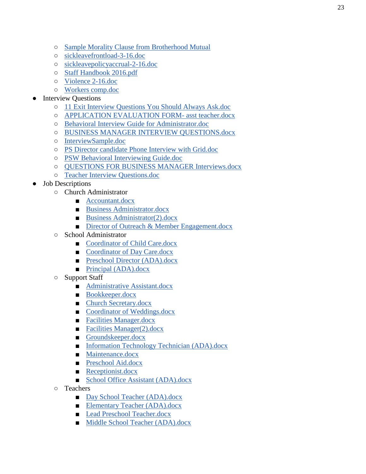- [Sample Morality Clause from Brotherhood Mutual](https://www.brotherhoodmutual.com/www/?linkservid=0507D1C6-0C15-26D5-2CC911652D9BEE1F&showMeta=2&ext=.pdf)
- [sickleavefrontload-3-16.doc](https://drive.google.com/open?id=0B3rOg77dgAmIRDZwRGJoT3VPeGc)
- [sickleavepolicyaccrual-2-16.doc](https://drive.google.com/open?id=0B3rOg77dgAmIVG4tamNBejZvN2c)
- [Staff Handbook 2016.pdf](https://drive.google.com/open?id=0B0C4WsMLO2tuOWcxdmZjamtxV3M)
- [Violence 2-16.doc](https://drive.google.com/open?id=0B0C4WsMLO2tuc1RQclgxdEdFQ00)
- [Workers comp.doc](https://drive.google.com/open?id=0B0C4WsMLO2tueV82a2dzVndISkE)

#### • Interview Questions

- [11 Exit Interview Questions You Should Always Ask.doc](https://drive.google.com/open?id=0B0C4WsMLO2tuTE9vVFBqU1ZTdnM)
- [APPLICATION EVALUATION FORM-](https://drive.google.com/open?id=0B0C4WsMLO2tuVnBrXzhzWDJsams) asst teacher.docx
- [Behavioral Interview Guide for Administrator.doc](https://drive.google.com/open?id=0B0C4WsMLO2tud0xuWW4yZWxHTlE)
- [BUSINESS MANAGER INTERVIEW QUESTIONS.docx](https://drive.google.com/open?id=0B0C4WsMLO2tucWJ2RjMwNmttbkU)
- [InterviewSample.doc](https://drive.google.com/open?id=0B0C4WsMLO2tueGZXb2VnMFgxNlk)
- [PS Director candidate Phone Interview with Grid.doc](https://drive.google.com/open?id=0B0C4WsMLO2tuYU9vNkFMb3laTzg)
- [PSW Behavioral Interviewing](https://drive.google.com/open?id=0B0C4WsMLO2tuNng1Y3JsQ1JTRjg) Guide.doc
- [QUESTIONS FOR BUSINESS MANAGER Interviews.docx](https://drive.google.com/open?id=0B0C4WsMLO2tuWkdSNEZrS0JsOXc)
- [Teacher Interview Questions.doc](https://drive.google.com/open?id=0B0C4WsMLO2tueUhxS2VmdHM0Ums)
- **Job Descriptions** 
	- Church Administrator
		- [Accountant.docx](https://drive.google.com/open?id=0B0C4WsMLO2tuTHJxV2xEMDlsN3M)
		- [Business Administrator.docx](https://drive.google.com/open?id=0B0C4WsMLO2tuZWJseFpOLVJadFE)
		- [Business Administrator\(2\).docx](https://drive.google.com/open?id=0B0C4WsMLO2tuLWw4OG01djBaMkE)
		- [Director of Outreach & Member Engagement.docx](https://drive.google.com/open?id=0B0C4WsMLO2tuZmFfbExtekl6bDQ)
	- School Administrator
		- [Coordinator of Child Care.docx](https://drive.google.com/open?id=0B0C4WsMLO2tuazJPYjR3QmY2RVE)
		- [Coordinator of Day Care.docx](https://drive.google.com/open?id=0B0C4WsMLO2tuOHlWQ0JXaEZkelU)
		- [Preschool Director \(ADA\).docx](https://drive.google.com/open?id=0B0C4WsMLO2tuOVl6WUZlWnVnRzQ)
		- [Principal \(ADA\).docx](https://drive.google.com/open?id=0B0C4WsMLO2tub0txN184Y0tnM3M)
	- Support Staff
		- [Administrative Assistant.docx](https://drive.google.com/open?id=0B0C4WsMLO2tuZXYybmdZdTF6UE0)
		- [Bookkeeper.docx](https://drive.google.com/open?id=0B0C4WsMLO2tuNzlaYTdJMy1ZYnM)
		- [Church Secretary.docx](https://drive.google.com/open?id=0B0C4WsMLO2tudzBmY2R3ejJzV3M)
		- [Coordinator of Weddings.docx](https://drive.google.com/open?id=0B0C4WsMLO2tuTmVBYm9seUxpVlE)
		- [Facilities Manager.docx](https://drive.google.com/open?id=0B0C4WsMLO2tuOHM2dllHM3M2Z00)
		- [Facilities Manager\(2\).docx](https://drive.google.com/open?id=0B0C4WsMLO2tubV9OLTE2UnRlTDg)
		- [Groundskeeper.docx](https://drive.google.com/open?id=0B0C4WsMLO2tuUndQNENjZ011UTQ)
		- [Information Technology Technician \(ADA\).docx](https://drive.google.com/open?id=0B0C4WsMLO2tuSWNINVVpcG8wZU0)
		- [Maintenance.docx](https://drive.google.com/open?id=0B0C4WsMLO2tuOGQ1Mi0tQVc2Tnc)
		- [Preschool Aid.docx](https://drive.google.com/open?id=0B0C4WsMLO2tuaG1EbzExeTlXc1k)
		- [Receptionist.docx](https://drive.google.com/open?id=0B0C4WsMLO2tuRXRXOVZOdmJ4QmM)
		- [School Office Assistant \(ADA\).docx](https://drive.google.com/open?id=0B0C4WsMLO2tuWUJ3Sk91b0xhSVE)
	- Teachers
		- [Day School Teacher \(ADA\).docx](https://drive.google.com/open?id=0B0C4WsMLO2tuZkwxeGpOX1Y5Nzg)
		- [Elementary Teacher \(ADA\).docx](https://drive.google.com/open?id=0B0C4WsMLO2tucnNMWF9mZHlERjg)
		- [Lead Preschool Teacher.docx](https://drive.google.com/open?id=0B0C4WsMLO2tuRzVEdnpJR0tWZFE)
		- [Middle School Teacher \(ADA\).docx](https://drive.google.com/open?id=0B0C4WsMLO2tuRXNSTzB6QWFJQkk)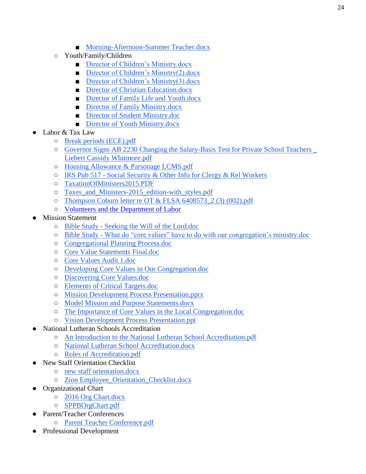- [Morning-Afternoon-Summer Teacher.docx](https://drive.google.com/open?id=0B0C4WsMLO2tucXdUOW1OWWY3eGc)
- Youth/Family/Children
	- [Director of Children's Ministry.docx](https://drive.google.com/open?id=0B0C4WsMLO2tuaEFHalNnc3RYSkE)
	- [Director of Children's Ministry\(2\).docx](https://drive.google.com/open?id=0B0C4WsMLO2tuLTNRUGt3Mkl5MHc)
	- [Director of Children's Ministry\(3\).docx](https://drive.google.com/open?id=0B0C4WsMLO2tublFkZWMxRjgxaTA)
	- [Director of Christian Education.docx](https://drive.google.com/open?id=0B0C4WsMLO2tuRGNBR1EtX1VWXzQ)
	- [Director of Family Life and Youth.docx](https://drive.google.com/open?id=0B0C4WsMLO2tuVTVkYVlVQjRUVVE)
	- [Director of Family Ministry.docx](https://drive.google.com/open?id=0B0C4WsMLO2tud09GQWN2SVVabDQ)
	- [Director of Student Ministry.doc](https://drive.google.com/open?id=0B0C4WsMLO2tud0FXSlY5WnJOWU0)
	- [Director of Youth Ministry.docx](https://drive.google.com/open?id=0B0C4WsMLO2tueTRxSWpWM2dxQWs)
- Labor & Tax Law
	- [Break periods \(ECE\).pdf](https://drive.google.com/open?id=0B0C4WsMLO2tuekRSV2U1VkFCc2M)
	- [Governor Signs AB 2230 Changing the Salary-Basis Test for Private School Teachers \\_](https://drive.google.com/open?id=0B0C4WsMLO2tuRENuUWhibEV3dFU) [Liebert Cassidy Whitmore.pdf](https://drive.google.com/open?id=0B0C4WsMLO2tuRENuUWhibEV3dFU)
	- [Housing Allowance & Parsonage LCMS.pdf](https://drive.google.com/open?id=0B3rOg77dgAmIcW9tVVVVWXhTWlU)
	- IRS Pub 517 [Social Security & Other Info for Clergy & Rel Workers](https://www.irs.gov/pub/irs-pdf/p517.pdf)
	- [TaxationOfMinisters2015.PDF](https://drive.google.com/open?id=0B0C4WsMLO2tuMVFfaDRsc3pvRlU)
	- [Taxes\\_and\\_Ministers-2015\\_edition-with\\_styles.pdf](https://drive.google.com/open?id=0B0C4WsMLO2tuUFdfdTRYM1B5SVk)
	- $\circ$  Thompson Coburn letter re OT & FLSA 6408573 2 (3) (002).pdf
	- [Volunteers and the Department of Labor](https://drive.google.com/open?id=0B0C4WsMLO2tuSE4tUndMQmVSTTg)
- **Mission Statement** 
	- Bible Study [Seeking the Will of the Lord.doc](https://drive.google.com/open?id=0B3rOg77dgAmISVFXR1NJNVZZNFU)
	- Bible Study [What do "core values" have to do with our congregation's ministry.doc](https://drive.google.com/open?id=0B3rOg77dgAmIQkNnOUtGWGJIcUk)
	- [Congregational Planning Process.doc](https://drive.google.com/open?id=0B3rOg77dgAmIZVNkVG5WTERsVms)
	- [Core Value Statements Final.doc](https://drive.google.com/open?id=0B3rOg77dgAmIR091M0V0UEhwVms)
	- [Core Values Audit 1.doc](https://drive.google.com/open?id=0B3rOg77dgAmIek9CTThaa0o4MDg)
	- [Developing Core Values in Our Congregation.doc](https://drive.google.com/open?id=0B3rOg77dgAmIYkp1Z3NJWEEweVE)
	- [Discovering Core Values.doc](https://drive.google.com/open?id=0B3rOg77dgAmIRXRPWGh1ejRreVk)
	- [Elements of Critical Targets.doc](https://drive.google.com/open?id=0B3rOg77dgAmIWmxpUVdmZzZtbmM)
	- [Mission Development Process Presentation.pptx](https://drive.google.com/open?id=0B3rOg77dgAmIektfLXp0S09aeDQ)
	- [Model Mission and Purpose Statements.docx](https://drive.google.com/open?id=0B0C4WsMLO2tuRkdTMXhWcGpyZXc)
	- [The Importance of Core Values in the Local Congregation.doc](https://drive.google.com/open?id=0B3rOg77dgAmIV3BqYTZwRG5nT3c)
	- [Vision Development Process Presentation.ppt](https://drive.google.com/open?id=0B3rOg77dgAmIV0xSYXNWZEVWX1E)
- **National Lutheran Schools Accreditation** 
	- [An Introduction to the National Lutheran School Accreditation.pdf](https://drive.google.com/open?id=0B0C4WsMLO2tuaXFhVVRpcFlMSG8)
	- [National Lutheran School Accreditation.docx](https://drive.google.com/open?id=0B0C4WsMLO2tuTG1sejVuT0tqRG8)
	- [Roles of Accreditation.pdf](https://drive.google.com/open?id=0B0C4WsMLO2tuYUFVcTlZSjNUVUU)
- **New Staff Orientation Checklist** 
	- [new staff orientation.docx](https://drive.google.com/open?id=0B0C4WsMLO2tuTllQYk9xOXlBbXM)
	- [Zion Employee\\_Orientation\\_Checklist.docx](https://drive.google.com/open?id=0B0C4WsMLO2tuMjNDcDdORmRhQUU)
- Organizational Chart
	- [2016 Org Chart.docx](https://drive.google.com/open?id=0B0C4WsMLO2tuUFVkTDg2Sm9EWmM)
	- [SPPBOrgChart.pdf](https://drive.google.com/open?id=0B0C4WsMLO2tubS1FY0tSZl9QQ00)
- Parent/Teacher Conferences
	- [Parent Teacher Conference.pdf](https://drive.google.com/open?id=0B0C4WsMLO2tuMEhIcjhTaWhSbVE)
- Professional Development